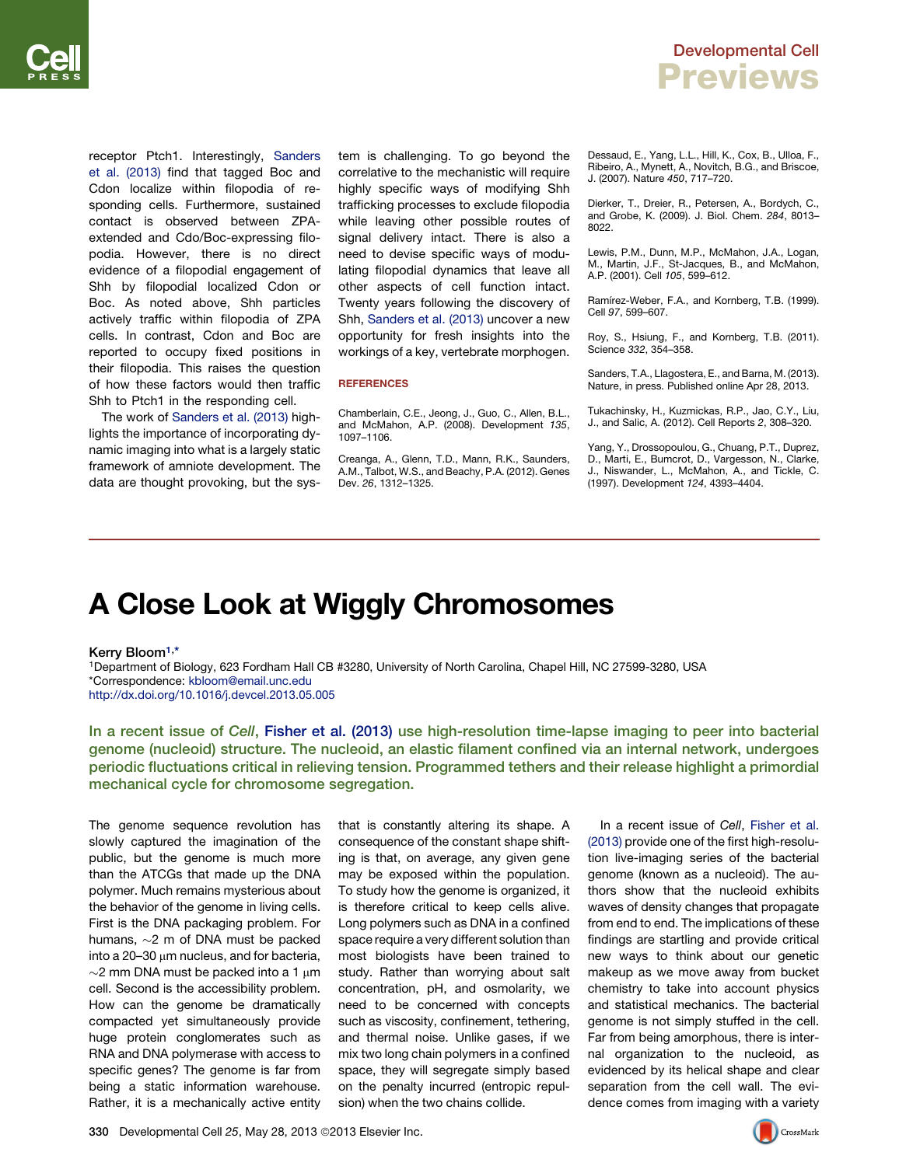Developmental Cell Previews

receptor Ptch1. Interestingly, Sanders et al. (2013) find that tagged Boc and Cdon localize within filopodia of responding cells. Furthermore, sustained contact is observed between ZPAextended and Cdo/Boc-expressing filopodia. However, there is no direct evidence of a filopodial engagement of Shh by filopodial localized Cdon or Boc. As noted above, Shh particles actively traffic within filopodia of ZPA cells. In contrast, Cdon and Boc are reported to occupy fixed positions in their filopodia. This raises the question of how these factors would then traffic Shh to Ptch1 in the responding cell.

The work of Sanders et al. (2013) highlights the importance of incorporating dynamic imaging into what is a largely static framework of amniote development. The data are thought provoking, but the system is challenging. To go beyond the correlative to the mechanistic will require highly specific ways of modifying Shh trafficking processes to exclude filopodia while leaving other possible routes of signal delivery intact. There is also a need to devise specific ways of modulating filopodial dynamics that leave all other aspects of cell function intact. Twenty years following the discovery of Shh, Sanders et al. (2013) uncover a new opportunity for fresh insights into the workings of a key, vertebrate morphogen.

#### **REFERENCES**

Chamberlain, C.E., Jeong, J., Guo, C., Allen, B.L., and McMahon, A.P. (2008). Development *135*, 1097–1106.

Creanga, A., Glenn, T.D., Mann, R.K., Saunders, A.M., Talbot, W.S., and Beachy, P.A. (2012). Genes Dev. *26*, 1312–1325.

Dessaud, E., Yang, L.L., Hill, K., Cox, B., Ulloa, F., Ribeiro, A., Mynett, A., Novitch, B.G., and Briscoe, J. (2007). Nature *450*, 717–720.

Dierker, T., Dreier, R., Petersen, A., Bordych, C., and Grobe, K. (2009). J. Biol. Chem. *284*, 8013– 8022.

Lewis, P.M., Dunn, M.P., McMahon, J.A., Logan, M., Martin, J.F., St-Jacques, B., and McMahon, A.P. (2001). Cell *105*, 599–612.

Rami'rez-Weber, F.A., and Kornberg, T.B. (1999). Cell *97*, 599–607.

Roy, S., Hsiung, F., and Kornberg, T.B. (2011). Science *332*, 354–358.

Sanders, T.A., Llagostera, E., and Barna, M. (2013). Nature, in press. Published online Apr 28, 2013.

Tukachinsky, H., Kuzmickas, R.P., Jao, C.Y., Liu, J., and Salic, A. (2012). Cell Reports *2*, 308–320.

Yang, Y., Drossopoulou, G., Chuang, P.T., Duprez, D., Marti, E., Bumcrot, D., Vargesson, N., Clarke, J., Niswander, L., McMahon, A., and Tickle, C. (1997). Development *124*, 4393–4404.

# A Close Look at Wiggly Chromosomes

## Kerry Bloom<sup>1,\*</sup>

1Department of Biology, 623 Fordham Hall CB #3280, University of North Carolina, Chapel Hill, NC 27599-3280, USA \*Correspondence: [kbloom@email.unc.edu](mailto:kbloom@email.unc.edu) <http://dx.doi.org/10.1016/j.devcel.2013.05.005>

In a recent issue of Cell, [Fisher et al. \(2013\)](#page-2-0) use high-resolution time-lapse imaging to peer into bacterial genome (nucleoid) structure. The nucleoid, an elastic filament confined via an internal network, undergoes periodic fluctuations critical in relieving tension. Programmed tethers and their release highlight a primordial mechanical cycle for chromosome segregation.

The genome sequence revolution has slowly captured the imagination of the public, but the genome is much more than the ATCGs that made up the DNA polymer. Much remains mysterious about the behavior of the genome in living cells. First is the DNA packaging problem. For humans,  $\sim$ 2 m of DNA must be packed into a 20–30  $\mu$ m nucleus, and for bacteria,  $\sim$ 2 mm DNA must be packed into a 1  $\mu$ m cell. Second is the accessibility problem. How can the genome be dramatically compacted yet simultaneously provide huge protein conglomerates such as RNA and DNA polymerase with access to specific genes? The genome is far from being a static information warehouse. Rather, it is a mechanically active entity

that is constantly altering its shape. A consequence of the constant shape shifting is that, on average, any given gene may be exposed within the population. To study how the genome is organized, it is therefore critical to keep cells alive. Long polymers such as DNA in a confined space require a very different solution than most biologists have been trained to study. Rather than worrying about salt concentration, pH, and osmolarity, we need to be concerned with concepts such as viscosity, confinement, tethering, and thermal noise. Unlike gases, if we mix two long chain polymers in a confined space, they will segregate simply based on the penalty incurred (entropic repulsion) when the two chains collide.

In a recent issue of *Cell*, [Fisher et al.](#page-2-0) [\(2013\)](#page-2-0) provide one of the first high-resolution live-imaging series of the bacterial genome (known as a nucleoid). The authors show that the nucleoid exhibits waves of density changes that propagate from end to end. The implications of these findings are startling and provide critical new ways to think about our genetic makeup as we move away from bucket chemistry to take into account physics and statistical mechanics. The bacterial genome is not simply stuffed in the cell. Far from being amorphous, there is internal organization to the nucleoid, as evidenced by its helical shape and clear separation from the cell wall. The evidence comes from imaging with a variety

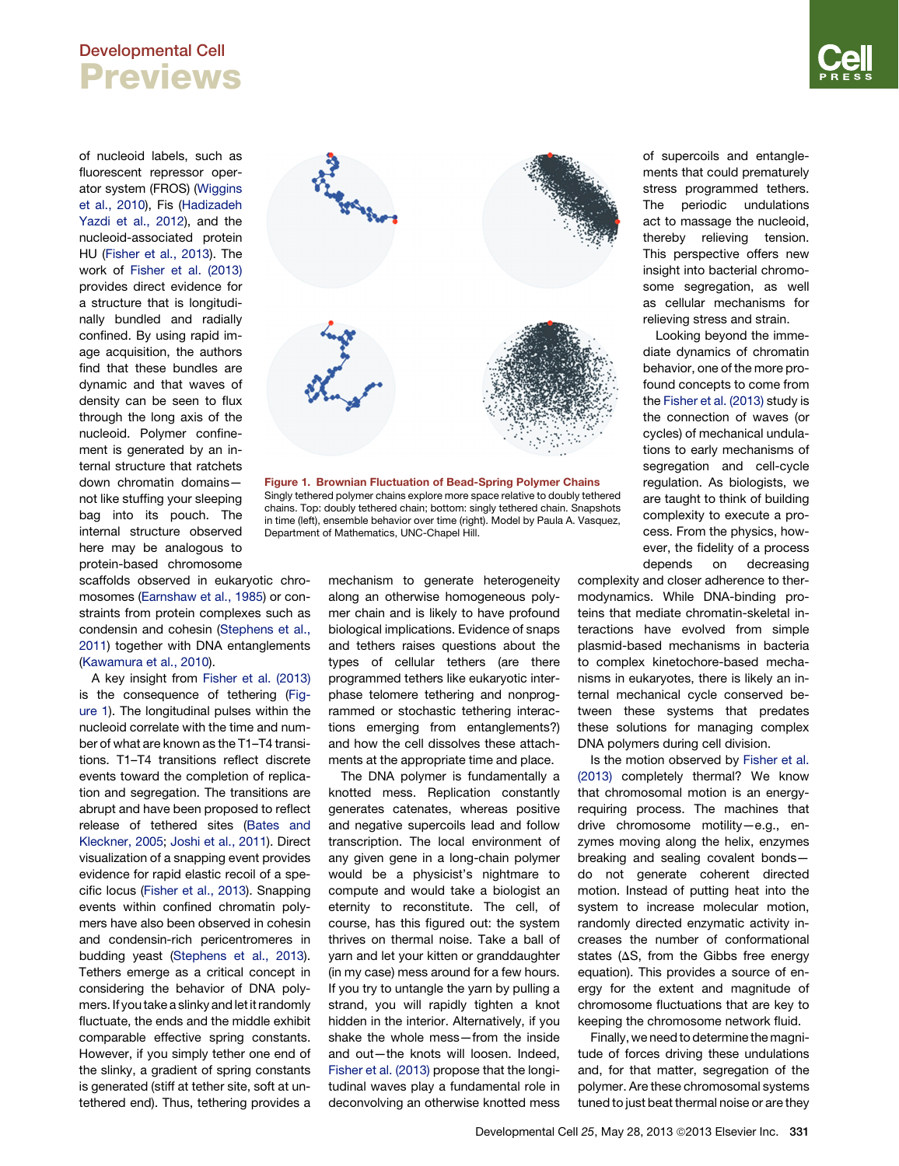# Developmental Cell **Previews**

of nucleoid labels, such as fluorescent repressor operator system (FROS) [\(Wiggins](#page-2-0) [et al., 2010](#page-2-0)), Fis [\(Hadizadeh](#page-2-0) [Yazdi et al., 2012\)](#page-2-0), and the nucleoid-associated protein HU ([Fisher et al., 2013\)](#page-2-0). The work of [Fisher et al. \(2013\)](#page-2-0) provides direct evidence for a structure that is longitudinally bundled and radially confined. By using rapid image acquisition, the authors find that these bundles are dynamic and that waves of density can be seen to flux through the long axis of the nucleoid. Polymer confinement is generated by an internal structure that ratchets down chromatin domains not like stuffing your sleeping bag into its pouch. The internal structure observed here may be analogous to protein-based chromosome

scaffolds observed in eukaryotic chromosomes ([Earnshaw et al., 1985](#page-2-0)) or constraints from protein complexes such as condensin and cohesin ([Stephens et al.,](#page-2-0) [2011\)](#page-2-0) together with DNA entanglements [\(Kawamura et al., 2010](#page-2-0)).

A key insight from [Fisher et al. \(2013\)](#page-2-0) is the consequence of tethering (Figure 1). The longitudinal pulses within the nucleoid correlate with the time and number of what are known as the T1–T4 transitions. T1–T4 transitions reflect discrete events toward the completion of replication and segregation. The transitions are abrupt and have been proposed to reflect release of tethered sites ([Bates and](#page-2-0) [Kleckner, 2005;](#page-2-0) [Joshi et al., 2011](#page-2-0)). Direct visualization of a snapping event provides evidence for rapid elastic recoil of a specific locus ([Fisher et al., 2013](#page-2-0)). Snapping events within confined chromatin polymers have also been observed in cohesin and condensin-rich pericentromeres in budding yeast [\(Stephens et al., 2013\)](#page-2-0). Tethers emerge as a critical concept in considering the behavior of DNA polymers. If you take a slinky and let it randomly fluctuate, the ends and the middle exhibit comparable effective spring constants. However, if you simply tether one end of the slinky, a gradient of spring constants is generated (stiff at tether site, soft at untethered end). Thus, tethering provides a



Figure 1. Brownian Fluctuation of Bead-Spring Polymer Chains Singly tethered polymer chains explore more space relative to doubly tethered chains. Top: doubly tethered chain; bottom: singly tethered chain. Snapshots in time (left), ensemble behavior over time (right). Model by Paula A. Vasquez, Department of Mathematics, UNC-Chapel Hill.

mechanism to generate heterogeneity along an otherwise homogeneous polymer chain and is likely to have profound biological implications. Evidence of snaps and tethers raises questions about the types of cellular tethers (are there programmed tethers like eukaryotic interphase telomere tethering and nonprogrammed or stochastic tethering interactions emerging from entanglements?) and how the cell dissolves these attachments at the appropriate time and place.

The DNA polymer is fundamentally a knotted mess. Replication constantly generates catenates, whereas positive and negative supercoils lead and follow transcription. The local environment of any given gene in a long-chain polymer would be a physicist's nightmare to compute and would take a biologist an eternity to reconstitute. The cell, of course, has this figured out: the system thrives on thermal noise. Take a ball of yarn and let your kitten or granddaughter (in my case) mess around for a few hours. If you try to untangle the yarn by pulling a strand, you will rapidly tighten a knot hidden in the interior. Alternatively, if you shake the whole mess—from the inside and out—the knots will loosen. Indeed, [Fisher et al. \(2013\)](#page-2-0) propose that the longitudinal waves play a fundamental role in deconvolving an otherwise knotted mess of supercoils and entanglements that could prematurely stress programmed tethers. The periodic undulations act to massage the nucleoid, thereby relieving tension. This perspective offers new insight into bacterial chromosome segregation, as well as cellular mechanisms for relieving stress and strain.

Looking beyond the immediate dynamics of chromatin behavior, one of the more profound concepts to come from the [Fisher et al. \(2013\)](#page-2-0) study is the connection of waves (or cycles) of mechanical undulations to early mechanisms of segregation and cell-cycle regulation. As biologists, we are taught to think of building complexity to execute a process. From the physics, however, the fidelity of a process depends on decreasing

complexity and closer adherence to thermodynamics. While DNA-binding proteins that mediate chromatin-skeletal interactions have evolved from simple plasmid-based mechanisms in bacteria to complex kinetochore-based mechanisms in eukaryotes, there is likely an internal mechanical cycle conserved between these systems that predates these solutions for managing complex DNA polymers during cell division.

Is the motion observed by [Fisher et al.](#page-2-0) [\(2013\)](#page-2-0) completely thermal? We know that chromosomal motion is an energyrequiring process. The machines that drive chromosome motility—e.g., enzymes moving along the helix, enzymes breaking and sealing covalent bonds do not generate coherent directed motion. Instead of putting heat into the system to increase molecular motion, randomly directed enzymatic activity increases the number of conformational states ( $\Delta S$ , from the Gibbs free energy equation). This provides a source of energy for the extent and magnitude of chromosome fluctuations that are key to keeping the chromosome network fluid.

Finally, we need to determine themagnitude of forces driving these undulations and, for that matter, segregation of the polymer. Are these chromosomal systems tuned to just beat thermal noise or are they